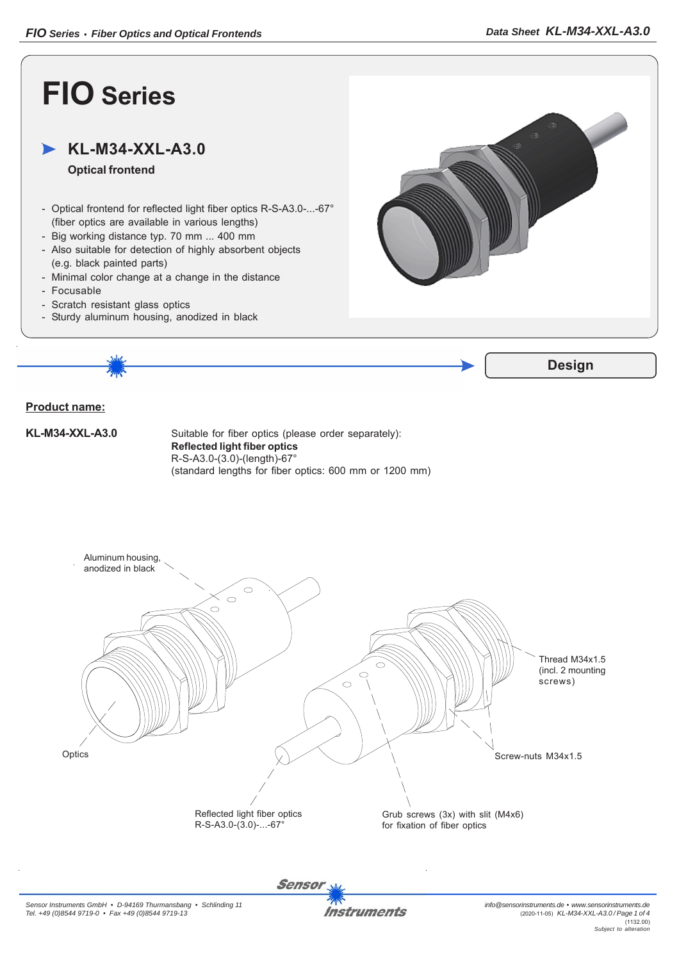

**Instruments**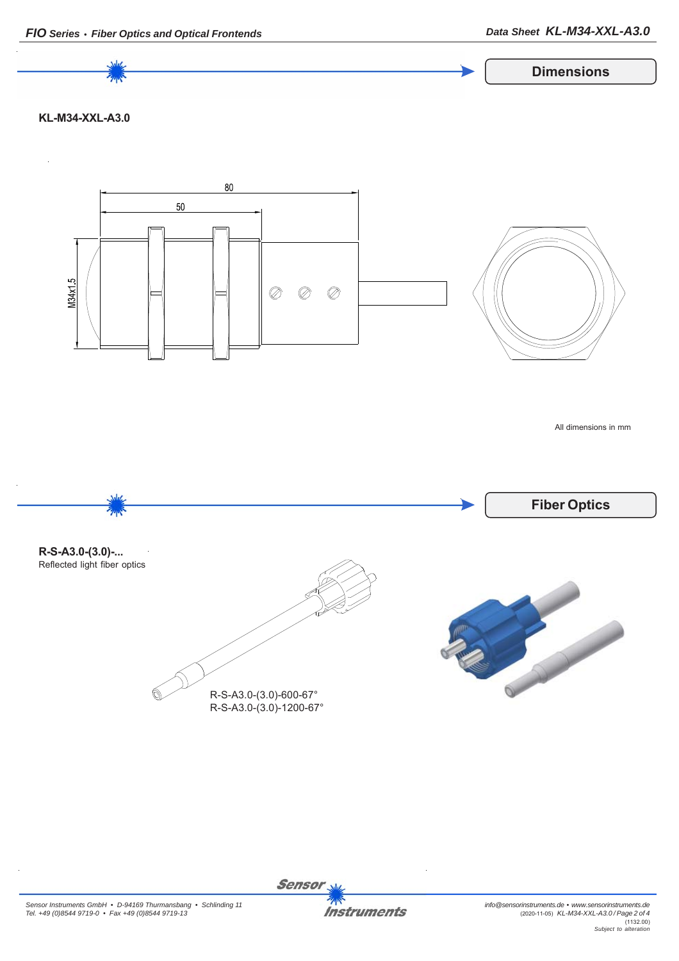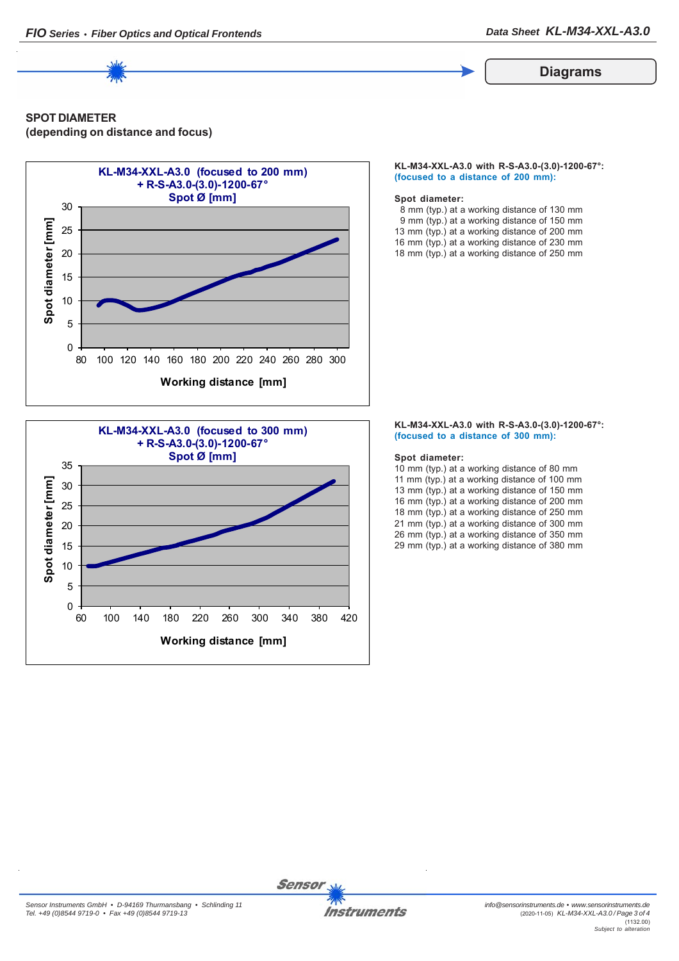

## **Diagrams**

# **SPOT DIAMETER (depending on distance and focus)**





### **KL-M34-XXL-A3.0 with R-S-A3.0-(3.0)-1200-67°: (focused to a distance of 200 mm):**

### **Spot diameter:**

 8 mm (typ.) at a working distance of 130 mm 9 mm (typ.) at a working distance of 150 mm 13 mm (typ.) at a working distance of 200 mm 16 mm (typ.) at a working distance of 230 mm 18 mm (typ.) at a working distance of 250 mm

#### **KL-M34-XXL-A3.0 with R-S-A3.0-(3.0)-1200-67°: (focused to a distance of 300 mm):**

### **Spot diameter:**

10 mm (typ.) at a working distance of 80 mm 11 mm (typ.) at a working distance of 100 mm 13 mm (typ.) at a working distance of 150 mm 16 mm (typ.) at a working distance of 200 mm 18 mm (typ.) at a working distance of 250 mm 21 mm (typ.) at a working distance of 300 mm 26 mm (typ.) at a working distance of 350 mm 29 mm (typ.) at a working distance of 380 mm